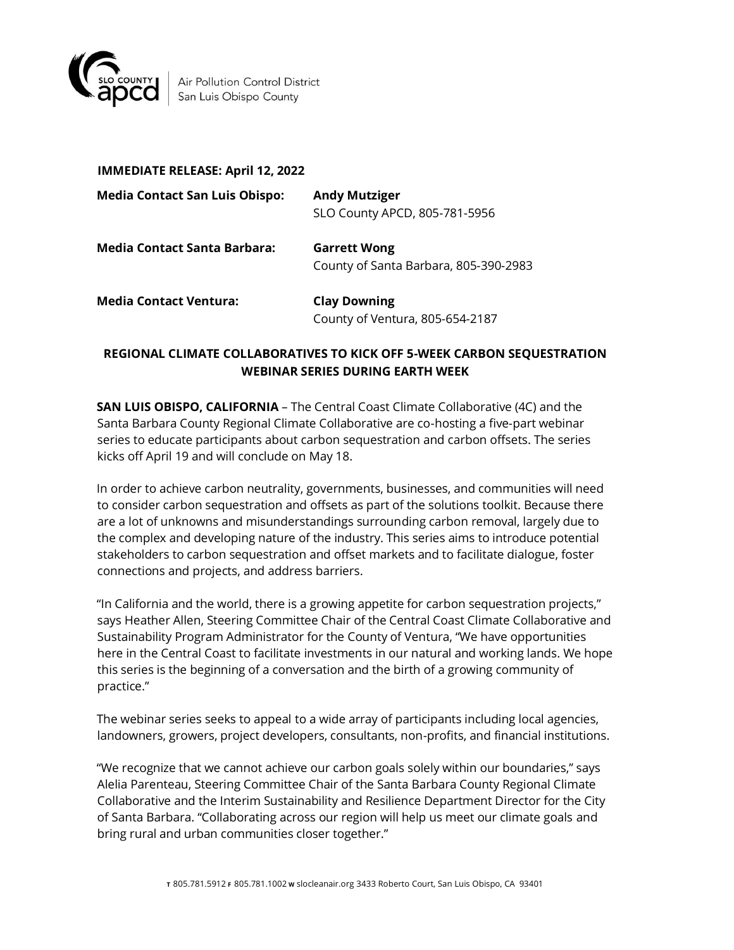

Air Pollution Control District San Luis Obispo County

| <b>IMMEDIATE RELEASE: April 12, 2022</b> |                                                              |
|------------------------------------------|--------------------------------------------------------------|
| <b>Media Contact San Luis Obispo:</b>    | <b>Andy Mutziger</b><br>SLO County APCD, 805-781-5956        |
| Media Contact Santa Barbara:             | <b>Garrett Wong</b><br>County of Santa Barbara, 805-390-2983 |
| <b>Media Contact Ventura:</b>            | <b>Clay Downing</b><br>County of Ventura, 805-654-2187       |

## **REGIONAL CLIMATE COLLABORATIVES TO KICK OFF 5-WEEK CARBON SEQUESTRATION WEBINAR SERIES DURING EARTH WEEK**

**SAN LUIS OBISPO, CALIFORNIA** – The Central Coast Climate Collaborative (4C) and the Santa Barbara County Regional Climate Collaborative are co-hosting a five-part webinar series to educate participants about carbon sequestration and carbon offsets. The series kicks off April 19 and will conclude on May 18.

In order to achieve carbon neutrality, governments, businesses, and communities will need to consider carbon sequestration and offsets as part of the solutions toolkit. Because there are a lot of unknowns and misunderstandings surrounding carbon removal, largely due to the complex and developing nature of the industry. This series aims to introduce potential stakeholders to carbon sequestration and offset markets and to facilitate dialogue, foster connections and projects, and address barriers.

"In California and the world, there is a growing appetite for carbon sequestration projects," says Heather Allen, Steering Committee Chair of the Central Coast Climate Collaborative and Sustainability Program Administrator for the County of Ventura, "We have opportunities here in the Central Coast to facilitate investments in our natural and working lands. We hope this series is the beginning of a conversation and the birth of a growing community of practice."

The webinar series seeks to appeal to a wide array of participants including local agencies, landowners, growers, project developers, consultants, non-profits, and financial institutions.

"We recognize that we cannot achieve our carbon goals solely within our boundaries," says Alelia Parenteau, Steering Committee Chair of the Santa Barbara County Regional Climate Collaborative and the Interim Sustainability and Resilience Department Director for the City of Santa Barbara. "Collaborating across our region will help us meet our climate goals and bring rural and urban communities closer together."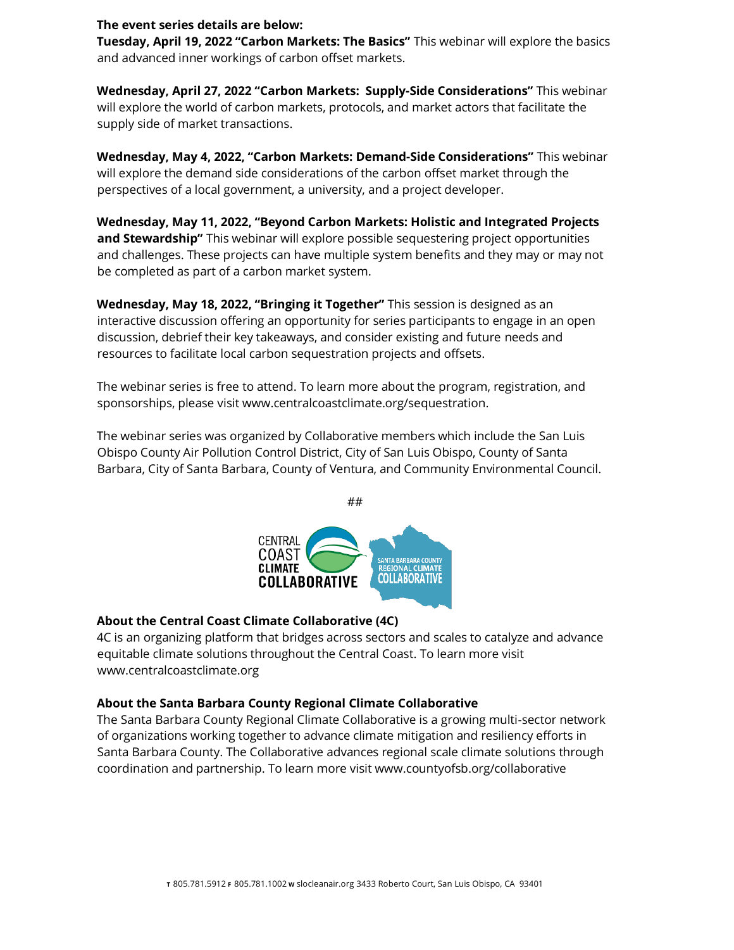## **The event series details are below:**

**Tuesday, April 19, 2022 "Carbon Markets: The Basics"** This webinar will explore the basics and advanced inner workings of carbon offset markets.

**Wednesday, April 27, 2022 "Carbon Markets: Supply-Side Considerations"** This webinar will explore the world of carbon markets, protocols, and market actors that facilitate the supply side of market transactions.

**Wednesday, May 4, 2022, "Carbon Markets: Demand-Side Considerations"** This webinar will explore the demand side considerations of the carbon offset market through the perspectives of a local government, a university, and a project developer.

**Wednesday, May 11, 2022, "Beyond Carbon Markets: Holistic and Integrated Projects and Stewardship"** This webinar will explore possible sequestering project opportunities and challenges. These projects can have multiple system benefits and they may or may not be completed as part of a carbon market system.

**Wednesday, May 18, 2022, "Bringing it Together"** This session is designed as an interactive discussion offering an opportunity for series participants to engage in an open discussion, debrief their key takeaways, and consider existing and future needs and resources to facilitate local carbon sequestration projects and offsets.

The webinar series is free to attend. To learn more about the program, registration, and sponsorships, please visit www.centralcoastclimate.org/sequestration.

The webinar series was organized by Collaborative members which include the San Luis Obispo County Air Pollution Control District, City of San Luis Obispo, County of Santa Barbara, City of Santa Barbara, County of Ventura, and Community Environmental Council.



## **About the Central Coast Climate Collaborative (4C)**

4C is an organizing platform that bridges across sectors and scales to catalyze and advance equitable climate solutions throughout the Central Coast. To learn more visit www.centralcoastclimate.org

## **About the Santa Barbara County Regional Climate Collaborative**

The Santa Barbara County Regional Climate Collaborative is a growing multi-sector network of organizations working together to advance climate mitigation and resiliency efforts in Santa Barbara County. The Collaborative advances regional scale climate solutions through coordination and partnership. To learn more visit www.countyofsb.org/collaborative